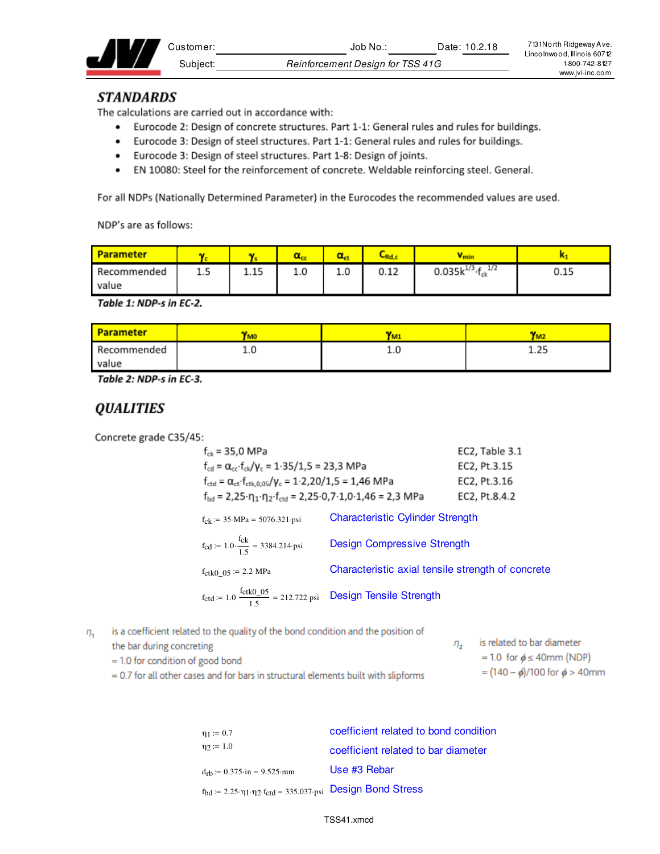| :dstomerٽ | Date: 10.2.18<br>Job No          | 7131 North Ridgeway Ave.<br>Lincolnwood, Illinois 60712 |
|-----------|----------------------------------|---------------------------------------------------------|
| Subiect:  | Reinforcement Design for TSS 41G | 1-800-742-8127                                          |
|           |                                  | www.ivi-inc.com                                         |

### **STANDARDS**

The calculations are carried out in accordance with:

- Eurocode 2: Design of concrete structures. Part 1-1: General rules and rules for buildings.
- Eurocode 3: Design of steel structures. Part 1-1: General rules and rules for buildings.
- Eurocode 3: Design of steel structures. Part 1-8: Design of joints.
- EN 10080: Steel for the reinforcement of concrete. Weldable reinforcing steel. General.

For all NDPs (Nationally Determined Parameter) in the Eurocodes the recommended values are used.

NDP's are as follows:

| <b>Parameter</b> |     |      |     |     | ∽<br>،Rd, | <b>V</b> min                      |      |
|------------------|-----|------|-----|-----|-----------|-----------------------------------|------|
| Recommended      | 1.5 | 1.15 | 1.0 | 1.0 | 0.12      | 0.035 $k^{1/3}$ · $f_{ck}$<br>1/2 | 0.15 |
| value            |     |      |     |     |           |                                   |      |

Table 1: NDP-s in EC-2.

| <b>Parameter</b> | <b>TMO</b> |     | 'M2         |
|------------------|------------|-----|-------------|
| Recommended      |            | T.N | D.E<br>1.ZJ |
| value            |            |     |             |

Table 2: NDP-s in EC-3.

### **QUALITIES**

Concrete grade C35/45:

| $f_{ck}$ = 35,0 MPa                                                                                                           |                                                   | EC2, Table 3.1 |
|-------------------------------------------------------------------------------------------------------------------------------|---------------------------------------------------|----------------|
| $f_{cd} = \alpha_{cc} \cdot f_{ck}/\gamma_c = 1.35/1.5 = 23.3 \text{ MPa}$                                                    |                                                   | EC2, Pt.3.15   |
| $f_{\text{ctd}} = \alpha_{\text{ct}} \cdot f_{\text{ctk},0.05} / \gamma_c = 1.2,20/1,5 = 1,46 \text{ MPa}$                    |                                                   | EC2, Pt.3.16   |
| $f_{\text{bd}} = 2.25 \cdot \eta_1 \cdot \eta_2 \cdot f_{\text{ctd}} = 2.25 \cdot 0.7 \cdot 1.0 \cdot 1.46 = 2.3 \text{ MPa}$ |                                                   | EC2, Pt.8.4.2  |
| $f_{ck} := 35 \text{ MPa} = 5076.321 \text{psi}$                                                                              | <b>Characteristic Cylinder Strength</b>           |                |
| $f_{\text{cd}} := 1.0 \cdot \frac{f_{\text{ck}}}{1.5} = 3384.214 \text{ psi}$                                                 | <b>Design Compressive Strength</b>                |                |
| $f_{\text{ctk0}}_{0.05}$ := 2.2 MPa                                                                                           | Characteristic axial tensile strength of concrete |                |
| $f_{\text{ctd}} = 1.0 \cdot \frac{f_{\text{ctk0}} - 0.5}{1.5} = 212.722 \cdot \text{psi}$ Design Tensile Strength             |                                                   |                |

is a coefficient related to the quality of the bond condition and the position of  $\eta_{1}$ 

| the bar during concreting          |  |
|------------------------------------|--|
| $= 1.0$ for condition of good bond |  |

| $\eta_{2}$ | is related to bar diameter          |
|------------|-------------------------------------|
|            | $= 1.0$ for $\phi \leq 40$ mm (NDP) |

 $= (140 - \phi)/100$  for  $\phi > 40$ mm

 $= 0.7$  for all other cases and for bars in structural elements built with slipforms

| $\eta_1 := 0.7$                                                                                                      | coefficient related to bond condition |
|----------------------------------------------------------------------------------------------------------------------|---------------------------------------|
| $\eta_2 := 1.0$                                                                                                      | coefficient related to bar diameter   |
| $d_{rb} := 0.375 \cdot in = 9.525 \cdot mm$                                                                          | Use #3 Rebar                          |
| $f_{\text{bd}} := 2.25 \cdot \eta_1 \cdot \eta_2 \cdot f_{\text{ctd}} = 335.037 \cdot \text{psi}$ Design Bond Stress |                                       |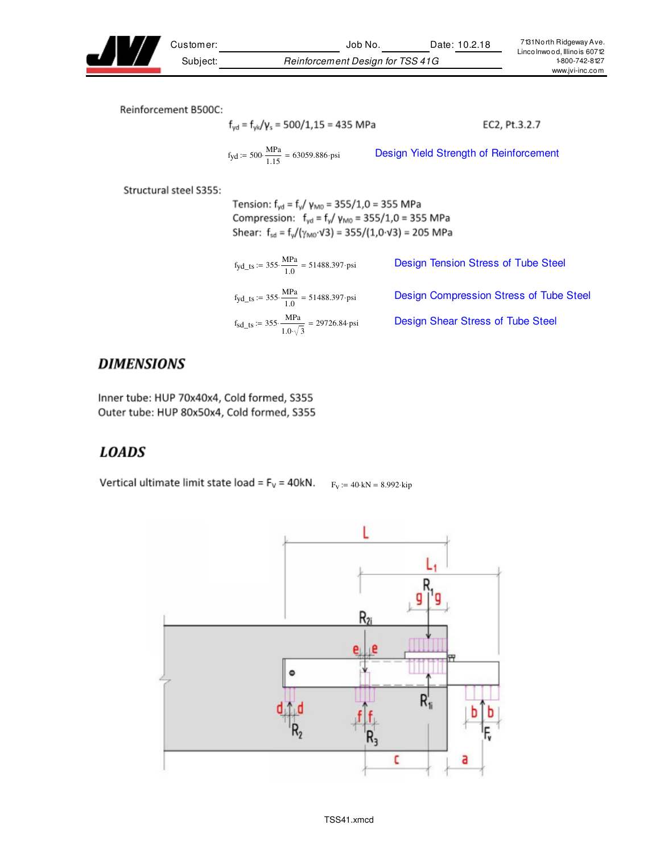

Customer: Job No. Date: 10.2.18 Subject: Reinforcement Design for TSS 41G

Reinforcement B500C:

$$
f_{yd} = f_{y|d}/\gamma_s = 500/1,15 = 435 \text{ MPa}
$$
 EC2, Pt.3.2.7  

$$
f_{yd} := 500 \cdot \frac{\text{MPa}}{1.15} = 63059.886 \text{ psi}
$$
 Design Yield Strength of Reinforcement

Structural steel S355:

Tension:  $f_{yd} = f_y / \gamma_{M0} = 355 / 1,0 = 355 \text{ MPa}$ Compression:  $f_{yd} = f_{y}/\gamma_{M0} = 355/1, 0 = 355 \text{ MPa}$ Shear:  $f_{sd} = f_v/(\gamma_{MO} \cdot \sqrt{3}) = 355/(1.0 \cdot \sqrt{3}) = 205 \text{ MPa}$ 

| $f_{\text{yd\_ts}} := 355 \cdot \frac{\text{MPa}}{1.0} = 51488.397 \cdot \text{psi}$ | Design Tension Stress of Tube Steel     |
|--------------------------------------------------------------------------------------|-----------------------------------------|
| $f_{\text{yd\_ts}} := 355 \cdot \frac{\text{MPa}}{1.0} = 51488.397 \cdot \text{psi}$ | Design Compression Stress of Tube Steel |
| $f_{sd\_ts}$ := 355. $\frac{MPa}{1.0\sqrt{3}}$ = 29726.84 psi                        | Design Shear Stress of Tube Steel       |

# **DIMENSIONS**

Inner tube: HUP 70x40x4, Cold formed, S355 Outer tube: HUP 80x50x4, Cold formed, S355

# **LOADS**

Vertical ultimate limit state load =  $F_v$  = 40kN.  $F_v$  := 40 kN = 8.992 kip

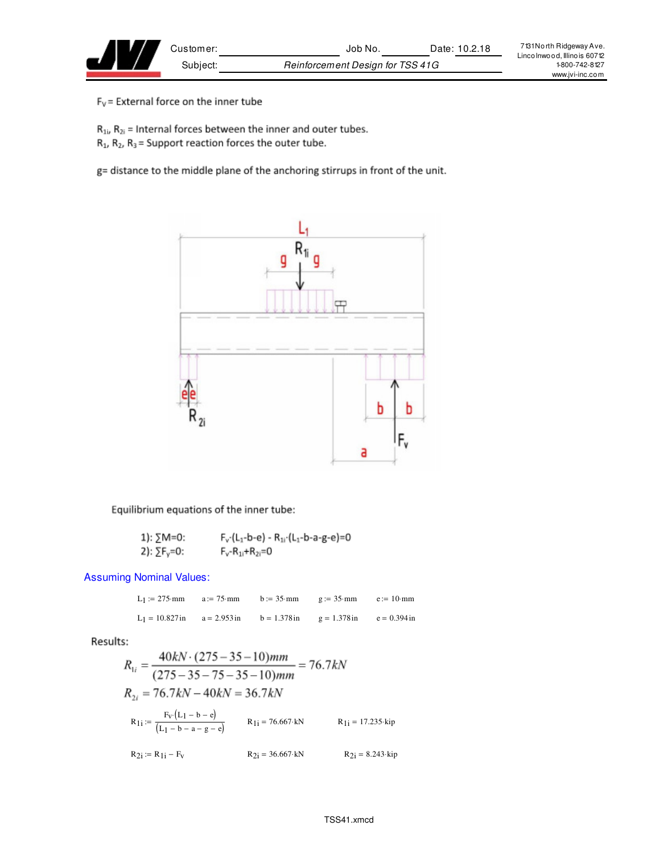$F_V$  = External force on the inner tube

 $R_{1i}$ ,  $R_{2i}$  = Internal forces between the inner and outer tubes.

 $R_1$ ,  $R_2$ ,  $R_3$  = Support reaction forces the outer tube.

g= distance to the middle plane of the anchoring stirrups in front of the unit.



Equilibrium equations of the inner tube:

1): 
$$
\sum M = 0
$$
:  
\n $F_v \cdot (L_1 - b - e) - R_{11} \cdot (L_1 - b - a - g - e) = 0$   
\n2):  $\sum F_v = 0$ :  
\n $F_v \cdot R_{11} + R_{21} = 0$ 

Assuming Nominal Values:

|  | L <sub>1</sub> := 275 mm a := 75 mm b := 35 mm g := 35 mm e := 10 mm           |  |
|--|--------------------------------------------------------------------------------|--|
|  | L <sub>1</sub> = 10.827 in a = 2.953 in b = 1.378 in g = 1.378 in e = 0.394 in |  |

Results:

$$
R_{1i} = \frac{40kN \cdot (275 - 35 - 10)mm}{(275 - 35 - 75 - 35 - 10)mm} = 76.7kN
$$
  
\n
$$
R_{2i} = 76.7kN - 40kN = 36.7kN
$$
  
\n
$$
R_{1i} = \frac{F_V(L_1 - b - e)}{(L_1 - b - a - g - e)}
$$
  
\n
$$
R_{1i} = 76.667 \text{ kN}
$$
  
\n
$$
R_{1i} = 17.235 \text{ kip}
$$
  
\n
$$
R_{2i} = R_{1i} - F_V
$$
  
\n
$$
R_{2i} = 36.667 \text{ kN}
$$
  
\n
$$
R_{2i} = 8.243 \text{ kip}
$$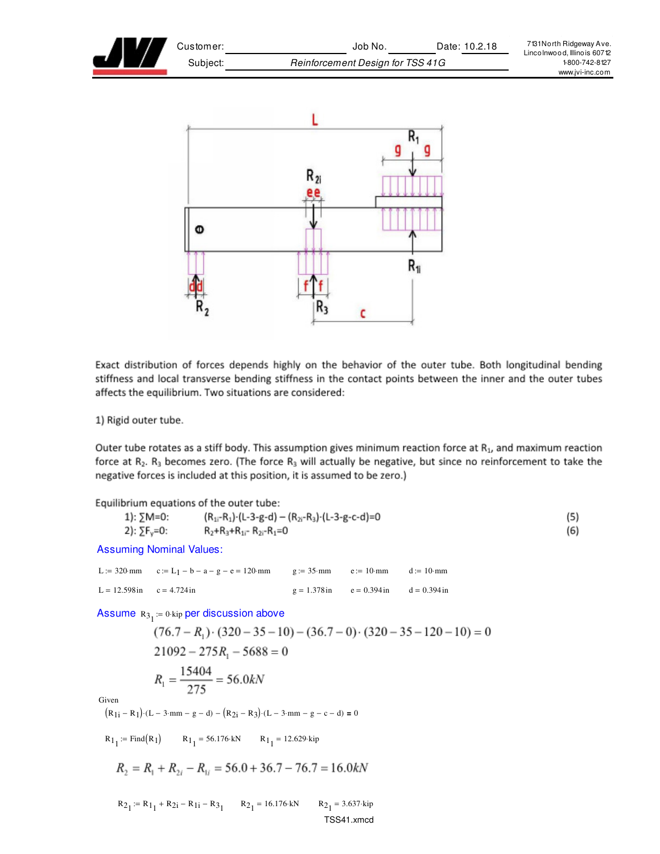



Exact distribution of forces depends highly on the behavior of the outer tube. Both longitudinal bending stiffness and local transverse bending stiffness in the contact points between the inner and the outer tubes affects the equilibrium. Two situations are considered:

1) Rigid outer tube.

Outer tube rotates as a stiff body. This assumption gives minimum reaction force at  $R_1$ , and maximum reaction force at  $R_2$ .  $R_3$  becomes zero. (The force  $R_3$  will actually be negative, but since no reinforcement to take the negative forces is included at this position, it is assumed to be zero.)

| Equilibrium equations of the outer tube: |                                                             |     |
|------------------------------------------|-------------------------------------------------------------|-----|
| 1): ∑M=0:                                | $(R_{1i}-R_{1})$ (L-3-g-d) – $(R_{2i}-R_{3})$ (L-3-g-c-d)=0 | (5) |
| 2): $\Sigma F_v = 0$ :                   | $R_2 + R_3 + R_{1i}$ - $R_{2i}$ - $R_1 = 0$                 | (6) |

Assuming Nominal Values:

L := 320 mm  $c := L_1 - b - a - g - e = 120$  mm  $g := 35$  mm  $e := 10$  mm  $d := 10$  mm L = 12.598in  $c = 4.724$ in  $g = 1.378$ in  $e = 0.394$ in  $d = 0.394$ in

Assume  $R_{\rm 3_{1}}$  := 0 kip per discussion above

$$
(76.7 - R1) \cdot (320 - 35 - 10) - (36.7 - 0) \cdot (320 - 35 - 120 - 10) = 0
$$
  
21092 - 275R<sub>1</sub> - 5688 = 0  

$$
R1 = \frac{15404}{275} = 56.0kN
$$

Given

$$
\left(R_{1i}-R_1\right)\cdot\left(L-3\cdot mm-g-d\right)-\left(R_{2i}-R_3\right)\cdot\left(L-3\cdot mm-g-c-d\right)=0
$$

 $R_1 := \text{Find}(R_1)$   $R_1$  $_{1}$  = 56.176 kN R<sub>1</sup>1</sub> = 12.629 kip

$$
R_2 = R_1 + R_{2i} - R_{1i} = 56.0 + 36.7 - 76.7 = 16.0kN
$$

 $R_{2_1} := R_{1_1} + R_{2_1} - R_{1_1} - R_{3_1}$   $R_{2_1} = 16.176$  kN  $R_2$  $_1 = 3.637 \cdot \text{kip}$ TSS41.xmcd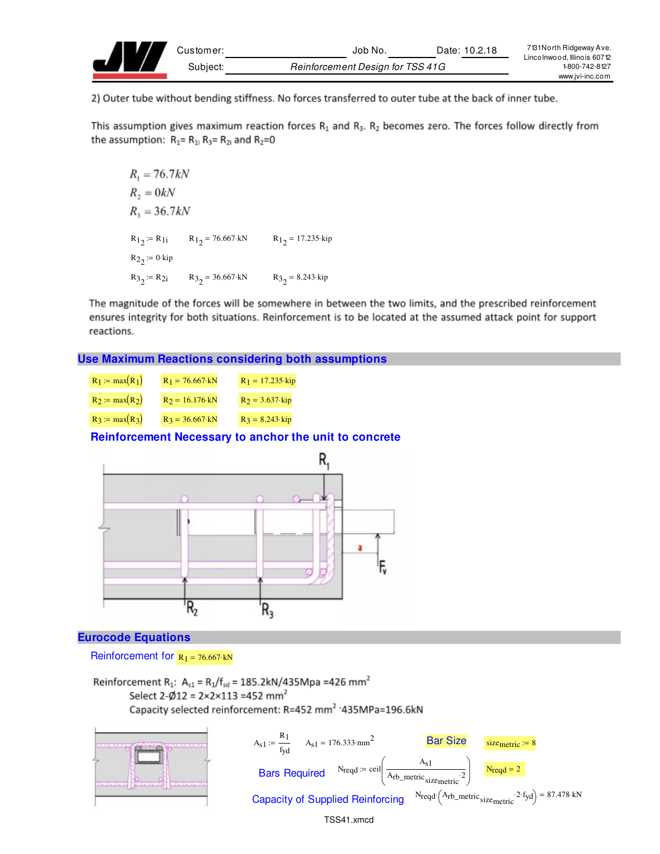

2) Outer tube without bending stiffness. No forces transferred to outer tube at the back of inner tube.

This assumption gives maximum reaction forces  $R_1$  and  $R_3$ .  $R_2$  becomes zero. The forces follow directly from the assumption:  $R_1 = R_{1i} R_3 = R_{2i}$  and  $R_2 = 0$ 

```
R_1 = 76.7kNR_2 = 0kNR_1 = 36.7 kNR_1<sub>2</sub> = R<sub>1</sub><sub>1</sub> = 76.667 kN R_1<sub>2</sub> = 17.235 kip
R_{2_2}:= 0·kip
R3_2 = R2i R3_2 = 36.667 kN R3_2 = 8.243 kip
```
The magnitude of the forces will be somewhere in between the two limits, and the prescribed reinforcement ensures integrity for both situations. Reinforcement is to be located at the assumed attack point for support reactions.

#### **Use Maximum Reactions considering both assumptions**

| $R_1 := max(R_1)$ | $R_1 = 76.667$ kN       | $R_1 = 17.235$ kip |
|-------------------|-------------------------|--------------------|
| $R_2 := max(R_2)$ | $R_2 = 16.176$ kN       | $R_2 = 3.637$ kip  |
| $R_3 := max(R_3)$ | $R_3 = 36.667 \cdot kN$ | $R_3 = 8.243$ kip  |

### **Reinforcement Necessary to anchor the unit to concrete**



#### **Eurocode Equations**

Reinforcement for  $R_1 = 76.667 \cdot kN$ 

Reinforcement R<sub>1</sub>: A<sub>s1</sub> = R<sub>1</sub>/f<sub>sd</sub> = 185.2kN/435Mpa = 426 mm<sup>2</sup> Select 2- $\phi$ 12 = 2×2×113 =452 mm<sup>2</sup> Capacity selected reinforcement: R=452 mm<sup>2</sup> '435MPa=196.6kN

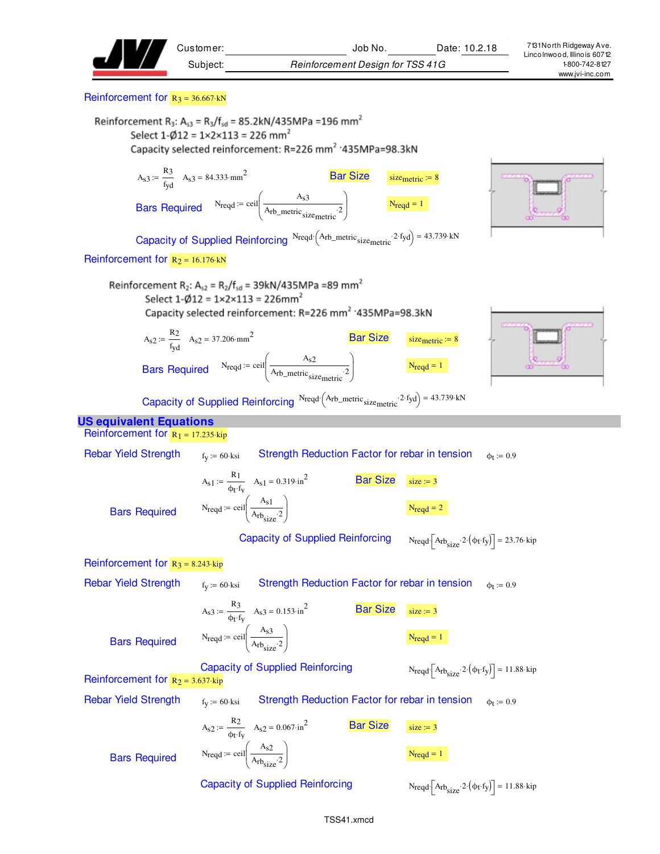| Customer:                                                            |                                                                                                                                                                                                 | Job No.         |                                  | Date: 10.2.18  | 7131 North Ridgeway Ave.<br>Linco Inwood, Illino is 60712 |
|----------------------------------------------------------------------|-------------------------------------------------------------------------------------------------------------------------------------------------------------------------------------------------|-----------------|----------------------------------|----------------|-----------------------------------------------------------|
| Subject:                                                             |                                                                                                                                                                                                 |                 | Reinforcement Design for TSS 41G |                | 1-800-742-8127<br>www.jvi-inc.com                         |
| Reinforcement for $R_3 = 36.667$ kN                                  |                                                                                                                                                                                                 |                 |                                  |                |                                                           |
| Select $1-\emptyset12 = 1 \times 2 \times 113 = 226$ mm <sup>2</sup> | Reinforcement R <sub>3</sub> : A <sub>s3</sub> = R <sub>3</sub> /f <sub>sd</sub> = 85.2kN/435MPa = 196 mm <sup>2</sup><br>Capacity selected reinforcement: R=226 mm <sup>2</sup> '435MPa=98.3kN |                 |                                  |                |                                                           |
| $A_{s3} := \frac{R_3}{f_{vd}}$ $A_{s3} = 84.333 \cdot \text{mm}^2$   |                                                                                                                                                                                                 | <b>Bar Size</b> | size <sub>metric</sub> := $8$    | <b>DEANGER</b> |                                                           |
|                                                                      | Bars Required $N_{\text{reqd}} = \text{ceil}\left(\frac{A_{s3}}{A_{\text{rb\_metric}}_{\text{size} \text{metric}}}\right)$                                                                      |                 | $N_{\text{reqd}} = 1$            |                |                                                           |
|                                                                      | Capacity of Supplied Reinforcing $N_{\text{reqd}}(A_{\text{rb\_metric}}; 2 \cdot f_{\text{yd}}) = 43.739 \cdot kN$                                                                              |                 |                                  |                |                                                           |
| Reinforcement for $R_2 = 16.176$ kN                                  |                                                                                                                                                                                                 |                 |                                  |                |                                                           |

Reinforcement R<sub>2</sub>: A<sub>s2</sub> = R<sub>2</sub>/f<sub>sd</sub> = 39kN/435MPa = 89 mm<sup>2</sup>  
Select 1-
$$
\emptyset
$$
12 = 1×2×113 = 226mm<sup>2</sup>  
Capacity selected reinforcement: R=226 mm<sup>2</sup> '435MPa=98.3kN





Capacity of Supplied Reinforcing  $N_{\text{reqd}} \left( A_{\text{rb\_metric}} : 2 \cdot f_{\text{yd}} \right) = 43.739 \cdot kN$ 

#### **US equivalent Equations**

Reinforcement for  $R_1 = 17.235 \text{ kip}$ Rebar Yield Strength  $f_y := 60$  ksi Strength Reduction Factor for rebar in tension  $\Phi$ <sub>t</sub> := 0.9  $A_{s1} := \frac{R_1}{1 + 4}$  $t = {\frac{k_1}{\phi_1 f_y}}$   $A_{s1} = 0.319 \cdot \text{ln}^2$  Bar Size  $\frac{s}{s} = 3$  $N_{\text{reqd}} := \text{ceil} \left( \frac{A_{\text{s1}}}{A_{\text{r1}}} \right)$  $A_{rb_{size}}$ <sup>2</sup>  $\int$ l  $\bigg)$ J  $:=$  ceil  $\frac{1}{4}$   $\frac{1}{2}$   $\frac{1}{2}$ Bars Required Capacity of Supplied Reinforcing  $\left[ \text{A}_{\text{rb}} \text{size} \cdot 2 \cdot (\phi_t \cdot \text{fy}) \right] = 23.76 \cdot \text{kip}$ Reinforcement for  $R_3 = 8.243$  kip Rebar Yield Strength  $f_y := 60$  ksi Strength Reduction Factor for rebar in tension  $\phi_t := 0.9$  $A_{s3} := \frac{R_3}{4}$  $t = \frac{R_3}{\phi_t \cdot f_v}$   $A_{s3} = 0.153 \cdot \text{ln}^2$  Bar Size size:= 3  $N_{\text{reqd}} := \text{ceil} \left( \frac{A_{\text{s}}3}{\Delta} \right)$  $A_{rb_{size}}$ <sup>2</sup>  $\int$ l  $\bigg)$ J  $:=$  ceil  $\frac{1}{\sqrt{1-\frac{1}{2}}}\left| \frac{1}{\sqrt{1-\frac{1}{2}}} \right|$ Bars Required Capacity of Supplied Reinforcing  $\cdot$   $[A_{rb_{size}} \cdot 2 \cdot (\phi_t \cdot f_y)] = 11.88 \cdot kip$ Reinforcement for  $R_2 = 3.637$  kip Rebar Yield Strength  $f_y := 60$  ksi Strength Reduction Factor for rebar in tension  $\phi_t := 0.9$  $A_{s2} := \frac{R_2}{4}$  $t = \frac{R_2}{\phi_t \cdot f_v}$   $A_{s2} = 0.067 \cdot in^2$  Bar Size size = 3

Bars Required

J Capacity of Supplied Reinforcing

 $\bigg)$ 

 $A_{rb_{size}}$ <sup>2</sup>

 $N_{\text{reqd}} := \text{ceil} \left( \frac{A_{\text{s}}}{\Delta} \right)$ 

 $\int$ l

 $\cdot$   $[A_{rb_{size}} \cdot 2 \cdot (\phi_t \cdot f_y)] = 11.88 \cdot kip$ 

 $:=$  ceil  $\frac{1}{\sqrt{1-\frac{1}{2}}}\left| \frac{1}{\sqrt{1-\frac{1}{2}}} \right|$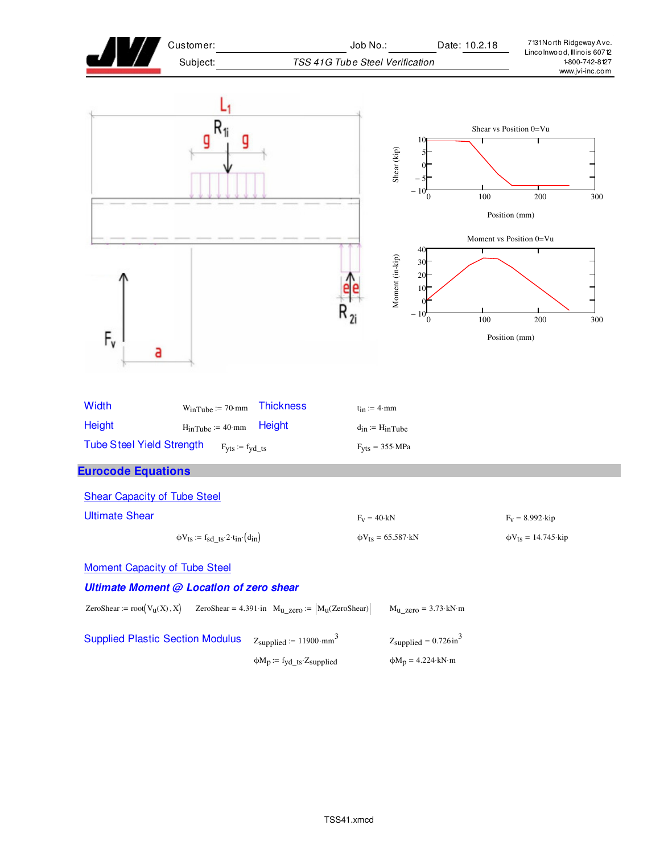| Customer:                                                                                                                                                                    | Job No.:<br>Date: 10.2.18                                              | 7131 North Ridgeway Ave.<br>Lincolnwood, Illinois 60712       |  |  |
|------------------------------------------------------------------------------------------------------------------------------------------------------------------------------|------------------------------------------------------------------------|---------------------------------------------------------------|--|--|
| Subject:                                                                                                                                                                     | TSS 41G Tube Steel Verification                                        | 1-800-742-8127<br>www.jvi-inc.com                             |  |  |
|                                                                                                                                                                              | 10<br>Shear (kip)<br>- 10<br>$\Omega$                                  | Shear vs Position 0=Vu<br>100<br>200<br>300<br>Position (mm)  |  |  |
| $F_{\mathsf{v}}$<br>а                                                                                                                                                        | 40<br>Moment (in-kip)<br>30<br>20<br>10<br>$-10^{-}_{0}$               | Moment vs Position 0=Vu<br>100<br>200<br>300<br>Position (mm) |  |  |
| Width<br><b>Thickness</b><br>$W_{in}$ Tube := 70·mm<br>Height<br>Height<br>$H_{inTube} := 40·mm$                                                                             | $t_{in} := 4 \cdot mm$<br>$d_{in} := H_{in}$ Tube                      |                                                               |  |  |
| <b>Tube Steel Yield Strength</b><br>$F_{yts} := f_{yd\_ts}$                                                                                                                  | $F_{Vfs} = 355 \cdot MPa$                                              |                                                               |  |  |
| <b>Eurocode Equations</b>                                                                                                                                                    |                                                                        |                                                               |  |  |
| <b>Shear Capacity of Tube Steel</b>                                                                                                                                          |                                                                        |                                                               |  |  |
| <b>Ultimate Shear</b>                                                                                                                                                        | $F_V = 40$ ·kN                                                         | $F_V = 8.992 \cdot kip$                                       |  |  |
| $\phi V_{ts} := f_{sd\_ts} \cdot 2 \cdot t_{in} \cdot (d_{in})$                                                                                                              | $\phi V_{ts} = 65.587$ ·kN                                             | $\phi V_{ts} = 14.745$ ·kip                                   |  |  |
| <b>Moment Capacity of Tube Steel</b><br>Ultimate Moment @ Location of zero shear<br>ZeroShear := $root(V_u(X), X)$<br>ZeroShear = 4.391 in $M_{u\_zero} :=  M_u(ZeroShear) $ | $M_{u\_zero} = 3.73 \text{ kN} \cdot m$                                |                                                               |  |  |
| <b>Supplied Plastic Section Modulus</b><br>$Z_{\text{supplied}} := 11900 \cdot \text{mm}^3$<br>$\phi M_p := f_{yd\_ts} Z_{supplied}$                                         | $Z_{\text{supplied}} = 0.726 \text{ in}^3$<br>$\phi M_p = 4.224$ ·kN·m |                                                               |  |  |